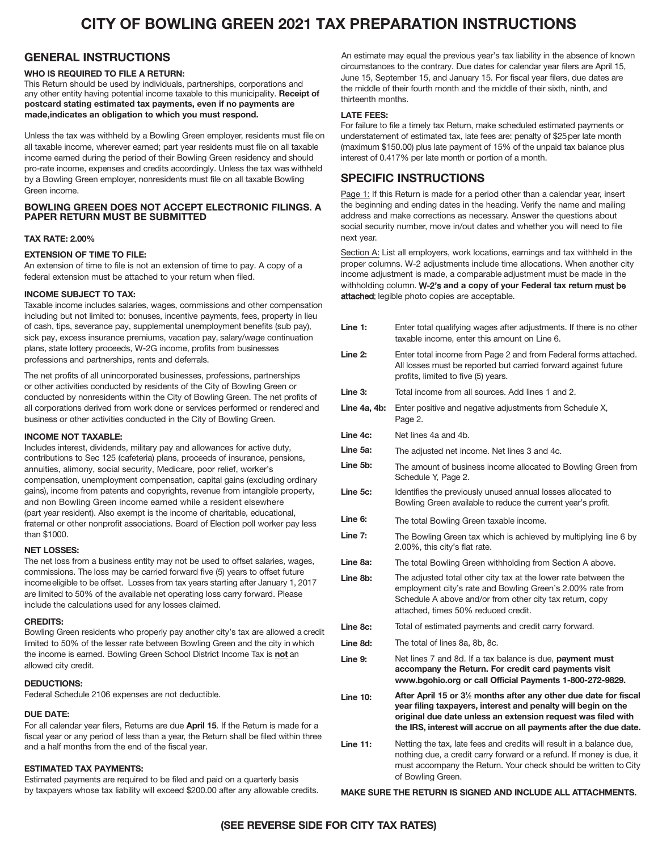# **CITY OF BOWLING GREEN 2021 TAX PREPARATION INSTRUCTIONS**

# **GENERAL INSTRUCTIONS**

## **WHO IS REQUIRED TO FILE A RETURN:**

This Return should be used by individuals, partnerships, corporations and any other entity having potential income taxable to this municipality. Receipt of postcard stating estimated tax payments, even if no payments are made,indicates an obligation to which you must respond.

Unless the tax was withheld by a Bowling Green employer, residents must file on all taxable income, wherever earned; part year residents must file on all taxable income earned during the period of their Bowling Green residency and should pro-rate income, expenses and credits accordingly. Unless the tax was withheld by a Bowling Green employer, nonresidents must file on all taxable Bowling Green income.

# **BOWLING GREEN DOES NOT ACCEPT ELECTRONIC FILINGS**. A PAPER RETURN MUST BE SUBMITTED

## **TAX RATE: 2.00%**

# **EXTENSION OF TIME TO FILE:**

An extension of time to file is not an extension of time to pay. A copy of a federal extension must be attached to your return when filed.

#### **INCOME SUBJECT TO TAX:**

Taxable income includes salaries, wages, commissions and other compensation including but not limited to: bonuses, incentive payments, fees, property in lieu of cash, tips, severance pay, supplemental unemployment benefits (sub pay), sick pay, excess insurance premiums, vacation pay, salary/wage continuation plans, state lottery proceeds, W-2G income, profits from businesses professions and partnerships, rents and deferrals.

The net profits of all unincorporated businesses, professions, partnerships or other activities conducted by residents of the City of Bowling Green or conducted by nonresidents within the City of Bowling Green. The net profits of all corporations derived from work done or services performed or rendered and business or other activities conducted in the City of Bowling Green.

#### **INCOME NOT TAXABLE:**

Includes interest, dividends, military pay and allowances for active duty, contributions to Sec 125 (cafeteria) plans, proceeds of insurance, pensions, annuities, alimony, social security, Medicare, poor relief, worker's compensation, unemployment compensation, capital gains (excluding ordinary gains), income from patents and copyrights, revenue from intangible property, and non Bowling Green income earned while a resident elsewhere (part year resident). Also exempt is the income of charitable, educational, fraternal or other nonprofit associations. Board of Election poll worker pay less than \$1000.

#### **NET LOSSES:**

The net loss from a business entity may not be used to offset salaries, wages, commissions. The loss may be carried forward five (5) years to offset future incomeeligible to be offset. Losses from tax years starting after January 1, 2017 are limited to 50% of the available net operating loss carry forward. Please include the calculations used for any losses claimed.

#### **CREDITS:**

Bowling Green residents who properly pay another city's tax are allowed a credit limited to 50% of the lesser rate between Bowling Green and the city in which the income is earned. Bowling Green School District Income Tax is **not** an allowed city credit.

## **DEDUCTIONS:**

Federal Schedule 2106 expenses are not deductible.

## **DUE DATE:**

For all calendar year filers, Returns are due **April 1**5. If the Return is made for a fiscal year or any period of less than a year, the Return shall be filed within three and a half months from the end of the fiscal year.

#### **ESTIMATED TAX PAYMENTS:**

Estimated payments are required to be filed and paid on a quarterly basis by taxpayers whose tax liability will exceed \$200.00 after any allowable credits.

An estimate may equal the previous year's tax liability in the absence of known circumstances to the contrary. Due dates for calendar year filers are April 15, June 15, September 15, and January 15. For fiscal year filers, due dates are the middle of their fourth month and the middle of their sixth, ninth, and thirteenth months.

#### **LATE FEES:**

For failure to file a timely tax Return, make scheduled estimated payments or understatement of estimated tax, late fees are: penalty of \$25 per late month (maximum \$150.00) plus late payment of 15% of the unpaid tax balance plus interest of 0.417% per late month or portion of a month.

# **SPECIFIC INSTRUCTIONS**

Page 1: If this Return is made for a period other than a calendar year, insert the beginning and ending dates in the heading. Verify the name and mailing address and make corrections as necessary. Answer the questions about social security number, move in/out dates and whether you will need to file next year.

Section A: List all employers, work locations, earnings and tax withheld in the proper columns. W-2 adjustments include time allocations. When another city income adjustment is made, a comparable adjustment must be made in the withholding column. W-2's and a copy of your Federal tax return must be attached; legible photo copies are acceptable.

| Line 1:         | Enter total qualifying wages after adjustments. If there is no other<br>taxable income, enter this amount on Line 6.                                                                                                                                                                |
|-----------------|-------------------------------------------------------------------------------------------------------------------------------------------------------------------------------------------------------------------------------------------------------------------------------------|
| Line 2:         | Enter total income from Page 2 and from Federal forms attached.<br>All losses must be reported but carried forward against future<br>profits, limited to five (5) years.                                                                                                            |
| Line 3:         | Total income from all sources. Add lines 1 and 2.                                                                                                                                                                                                                                   |
| Line 4a, 4b:    | Enter positive and negative adjustments from Schedule X,<br>Page 2.                                                                                                                                                                                                                 |
| Line 4c:        | Net lines 4a and 4b.                                                                                                                                                                                                                                                                |
| Line 5a:        | The adjusted net income. Net lines 3 and 4c.                                                                                                                                                                                                                                        |
| Line 5b:        | The amount of business income allocated to Bowling Green from<br>Schedule Y, Page 2.                                                                                                                                                                                                |
| Line 5c:        | Identifies the previously unused annual losses allocated to<br>Bowling Green available to reduce the current year's profit.                                                                                                                                                         |
| Line 6:         | The total Bowling Green taxable income.                                                                                                                                                                                                                                             |
| Line 7:         | The Bowling Green tax which is achieved by multiplying line 6 by<br>2.00%, this city's flat rate.                                                                                                                                                                                   |
| Line 8a:        | The total Bowling Green withholding from Section A above.                                                                                                                                                                                                                           |
| Line 8b:        | The adjusted total other city tax at the lower rate between the<br>employment city's rate and Bowling Green's 2.00% rate from<br>Schedule A above and/or from other city tax return, copy<br>attached, times 50% reduced credit.                                                    |
| Line 8c:        | Total of estimated payments and credit carry forward.                                                                                                                                                                                                                               |
| Line 8d:        | The total of lines 8a, 8b, 8c.                                                                                                                                                                                                                                                      |
| Line 9:         | Net lines 7 and 8d. If a tax balance is due, payment must<br>accompany the Return. For credit card payments visit<br>www.bgohio.org or call Official Payments 1-800-272-9829.                                                                                                       |
| <b>Line 10:</b> | After April 15 or 3 <sup>1/2</sup> months after any other due date for fiscal<br>year filing taxpayers, interest and penalty will begin on the<br>original due date unless an extension request was filed with<br>the IRS, interest will accrue on all payments after the due date. |
| <b>Line 11:</b> | Netting the tax, late fees and credits will result in a balance due,<br>nothing due, a credit carry forward or a refund. If money is due, it<br>must accompany the Return. Your check should be written to City<br>of Bowling Green.                                                |

#### **MAKE SURE THE RETURN IS SIGNED AND INCLUDE ALL ATTACHMENTS.**